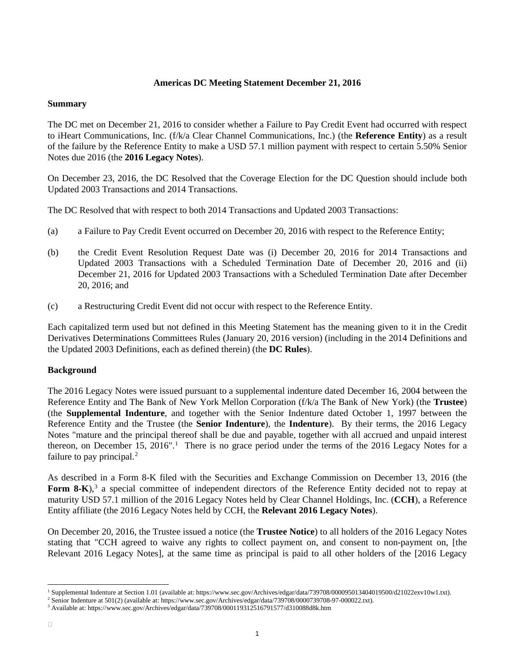# **Americas DC Meeting Statement December 21, 2016**

### **Summary**

The DC met on December 21, 2016 to consider whether a Failure to Pay Credit Event had occurred with respect to iHeart Communications, Inc. (f/k/a Clear Channel Communications, Inc.) (the **Reference Entity**) as a result of the failure by the Reference Entity to make a USD 57.1 million payment with respect to certain 5.50% Senior Notes due 2016 (the **2016 Legacy Notes**).

On December 23, 2016, the DC Resolved that the Coverage Election for the DC Question should include both Updated 2003 Transactions and 2014 Transactions.

The DC Resolved that with respect to both 2014 Transactions and Updated 2003 Transactions:

- (a) a Failure to Pay Credit Event occurred on December 20, 2016 with respect to the Reference Entity;
- (b) the Credit Event Resolution Request Date was (i) December 20, 2016 for 2014 Transactions and Updated 2003 Transactions with a Scheduled Termination Date of December 20, 2016 and (ii) December 21, 2016 for Updated 2003 Transactions with a Scheduled Termination Date after December 20, 2016; and
- (c) a Restructuring Credit Event did not occur with respect to the Reference Entity.

Each capitalized term used but not defined in this Meeting Statement has the meaning given to it in the Credit Derivatives Determinations Committees Rules (January 20, 2016 version) (including in the 2014 Definitions and the Updated 2003 Definitions, each as defined therein) (the **DC Rules**).

### **Background**

The 2016 Legacy Notes were issued pursuant to a supplemental indenture dated December 16, 2004 between the Reference Entity and The Bank of New York Mellon Corporation (f/k/a The Bank of New York) (the **Trustee**) (the **Supplemental Indenture**, and together with the Senior Indenture dated October 1, 1997 between the Reference Entity and the Trustee (the **Senior Indenture**), the **Indenture**). By their terms, the 2016 Legacy Notes "mature and the principal thereof shall be due and payable, together with all accrued and unpaid interest thereon, on December [1](#page-0-0)5, 2016".<sup>1</sup> There is no grace period under the terms of the 2016 Legacy Notes for a failure to pay principal.<sup>[2](#page-0-1)</sup>

As described in a Form 8-K filed with the Securities and Exchange Commission on December 13, 2016 (the Form 8-K),<sup>[3](#page-0-2)</sup> a special committee of independent directors of the Reference Entity decided not to repay at maturity USD 57.1 million of the 2016 Legacy Notes held by Clear Channel Holdings, Inc. (**CCH**), a Reference Entity affiliate (the 2016 Legacy Notes held by CCH, the **Relevant 2016 Legacy Notes**).

On December 20, 2016, the Trustee issued a notice (the **Trustee Notice**) to all holders of the 2016 Legacy Notes stating that "CCH agreed to waive any rights to collect payment on, and consent to non-payment on, [the Relevant 2016 Legacy Notes], at the same time as principal is paid to all other holders of the [2016 Legacy

<span id="page-0-0"></span> <sup>1</sup> Supplemental Indenture at Section 1.01 (available at: https://www.sec.gov/Archives/edgar/data/739708/000095013404019500/d21022exv10w1.txt).

<sup>2</sup> Senior Indenture at 501(2) (available at: https://www.sec.gov/Archives/edgar/data/739708/0000739708-97-000022.txt).

<span id="page-0-2"></span><span id="page-0-1"></span><sup>3</sup> Available at: https://www.sec.gov/Archives/edgar/data/739708/000119312516791577/d310088d8k.htm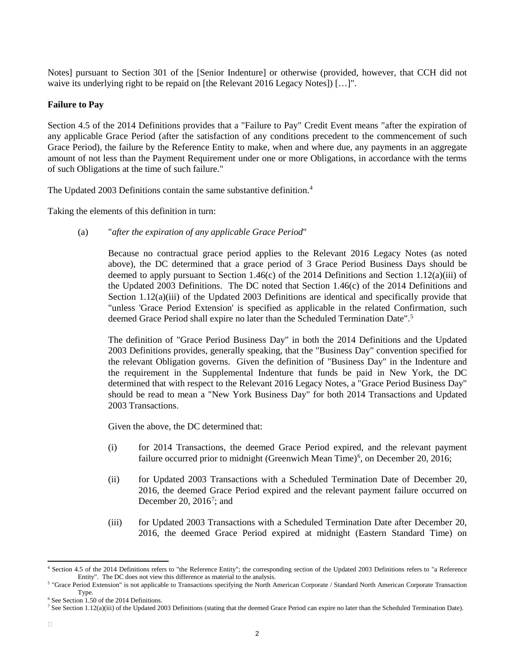Notes] pursuant to Section 301 of the [Senior Indenture] or otherwise (provided, however, that CCH did not waive its underlying right to be repaid on [the Relevant 2016 Legacy Notes]) [...]".

### **Failure to Pay**

Section 4.5 of the 2014 Definitions provides that a "Failure to Pay" Credit Event means "after the expiration of any applicable Grace Period (after the satisfaction of any conditions precedent to the commencement of such Grace Period), the failure by the Reference Entity to make, when and where due, any payments in an aggregate amount of not less than the Payment Requirement under one or more Obligations, in accordance with the terms of such Obligations at the time of such failure."

The Updated 2003 Definitions contain the same substantive definition.<sup>4</sup>

Taking the elements of this definition in turn:

(a) "*after the expiration of any applicable Grace Period*"

Because no contractual grace period applies to the Relevant 2016 Legacy Notes (as noted above), the DC determined that a grace period of 3 Grace Period Business Days should be deemed to apply pursuant to Section 1.46(c) of the 2014 Definitions and Section 1.12(a)(iii) of the Updated 2003 Definitions. The DC noted that Section 1.46(c) of the 2014 Definitions and Section 1.12(a)(iii) of the Updated 2003 Definitions are identical and specifically provide that "unless 'Grace Period Extension' is specified as applicable in the related Confirmation, such deemed Grace Period shall expire no later than the Scheduled Termination Date".<sup>[5](#page-1-1)</sup>

The definition of "Grace Period Business Day" in both the 2014 Definitions and the Updated 2003 Definitions provides, generally speaking, that the "Business Day" convention specified for the relevant Obligation governs. Given the definition of "Business Day" in the Indenture and the requirement in the Supplemental Indenture that funds be paid in New York, the DC determined that with respect to the Relevant 2016 Legacy Notes, a "Grace Period Business Day" should be read to mean a "New York Business Day" for both 2014 Transactions and Updated 2003 Transactions.

Given the above, the DC determined that:

- (i) for 2014 Transactions, the deemed Grace Period expired, and the relevant payment failure occurred prior to midnight (Greenwich Mean Time)<sup>[6](#page-1-2)</sup>, on December 20, 2016;
- (ii) for Updated 2003 Transactions with a Scheduled Termination Date of December 20, 2016, the deemed Grace Period expired and the relevant payment failure occurred on December 20,  $2016^7$  $2016^7$ ; and
- (iii) for Updated 2003 Transactions with a Scheduled Termination Date after December 20, 2016, the deemed Grace Period expired at midnight (Eastern Standard Time) on

<span id="page-1-0"></span> <sup>4</sup> Section 4.5 of the 2014 Definitions refers to "the Reference Entity"; the corresponding section of the Updated 2003 Definitions refers to "a Reference Entity". The DC does not view this difference as material to the analysis.

<span id="page-1-1"></span><sup>&</sup>lt;sup>5</sup> "Grace Period Extension" is not applicable to Transactions specifying the North American Corporate / Standard North American Corporate Transaction Type.

<span id="page-1-2"></span><sup>6</sup> See Section 1.50 of the 2014 Definitions.

<span id="page-1-3"></span><sup>&</sup>lt;sup>7</sup> See Section 1.12(a)(iii) of the Updated 2003 Definitions (stating that the deemed Grace Period can expire no later than the Scheduled Termination Date).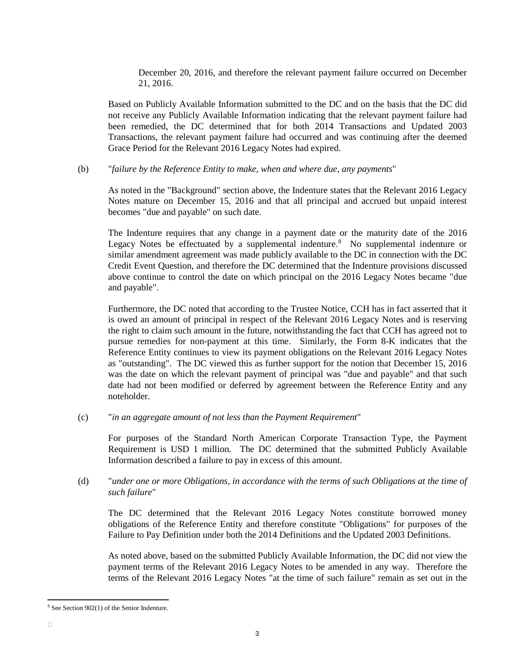December 20, 2016, and therefore the relevant payment failure occurred on December 21, 2016.

Based on Publicly Available Information submitted to the DC and on the basis that the DC did not receive any Publicly Available Information indicating that the relevant payment failure had been remedied, the DC determined that for both 2014 Transactions and Updated 2003 Transactions, the relevant payment failure had occurred and was continuing after the deemed Grace Period for the Relevant 2016 Legacy Notes had expired.

#### (b) "*failure by the Reference Entity to make, when and where due, any payments*"

As noted in the "Background" section above, the Indenture states that the Relevant 2016 Legacy Notes mature on December 15, 2016 and that all principal and accrued but unpaid interest becomes "due and payable" on such date.

The Indenture requires that any change in a payment date or the maturity date of the 2016 Legacy Notes be effectuated by a supplemental indenture.<sup>[8](#page-2-0)</sup> No supplemental indenture or similar amendment agreement was made publicly available to the DC in connection with the DC Credit Event Question, and therefore the DC determined that the Indenture provisions discussed above continue to control the date on which principal on the 2016 Legacy Notes became "due and payable".

Furthermore, the DC noted that according to the Trustee Notice, CCH has in fact asserted that it is owed an amount of principal in respect of the Relevant 2016 Legacy Notes and is reserving the right to claim such amount in the future, notwithstanding the fact that CCH has agreed not to pursue remedies for non-payment at this time. Similarly, the Form 8-K indicates that the Reference Entity continues to view its payment obligations on the Relevant 2016 Legacy Notes as "outstanding". The DC viewed this as further support for the notion that December 15, 2016 was the date on which the relevant payment of principal was "due and payable" and that such date had not been modified or deferred by agreement between the Reference Entity and any noteholder.

(c) "*in an aggregate amount of not less than the Payment Requirement*"

For purposes of the Standard North American Corporate Transaction Type, the Payment Requirement is USD 1 million. The DC determined that the submitted Publicly Available Information described a failure to pay in excess of this amount.

(d) "*under one or more Obligations, in accordance with the terms of such Obligations at the time of such failure*"

The DC determined that the Relevant 2016 Legacy Notes constitute borrowed money obligations of the Reference Entity and therefore constitute "Obligations" for purposes of the Failure to Pay Definition under both the 2014 Definitions and the Updated 2003 Definitions.

As noted above, based on the submitted Publicly Available Information, the DC did not view the payment terms of the Relevant 2016 Legacy Notes to be amended in any way. Therefore the terms of the Relevant 2016 Legacy Notes "at the time of such failure" remain as set out in the

<span id="page-2-0"></span> <sup>8</sup> See Section 902(1) of the Senior Indenture.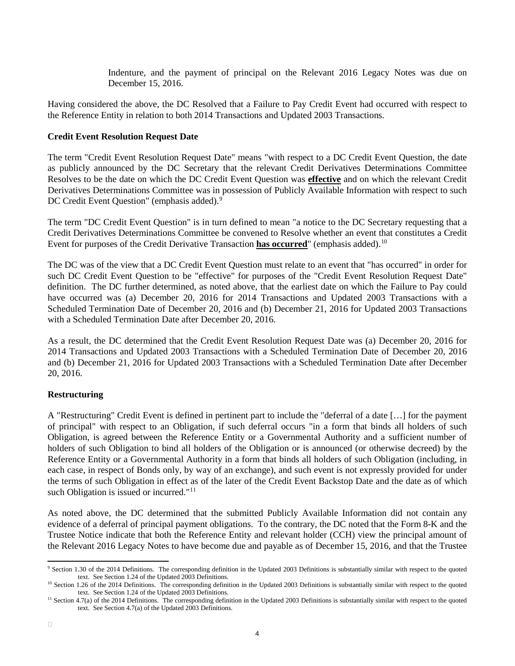Indenture, and the payment of principal on the Relevant 2016 Legacy Notes was due on December 15, 2016.

Having considered the above, the DC Resolved that a Failure to Pay Credit Event had occurred with respect to the Reference Entity in relation to both 2014 Transactions and Updated 2003 Transactions.

# **Credit Event Resolution Request Date**

The term "Credit Event Resolution Request Date" means "with respect to a DC Credit Event Question, the date as publicly announced by the DC Secretary that the relevant Credit Derivatives Determinations Committee Resolves to be the date on which the DC Credit Event Question was **effective** and on which the relevant Credit Derivatives Determinations Committee was in possession of Publicly Available Information with respect to such DC Credit Event Question" (emphasis added).<sup>[9](#page-3-0)</sup>

The term "DC Credit Event Question" is in turn defined to mean "a notice to the DC Secretary requesting that a Credit Derivatives Determinations Committee be convened to Resolve whether an event that constitutes a Credit Event for purposes of the Credit Derivative Transaction **has occurred**" (emphasis added).[10](#page-3-1)

The DC was of the view that a DC Credit Event Question must relate to an event that "has occurred" in order for such DC Credit Event Question to be "effective" for purposes of the "Credit Event Resolution Request Date" definition. The DC further determined, as noted above, that the earliest date on which the Failure to Pay could have occurred was (a) December 20, 2016 for 2014 Transactions and Updated 2003 Transactions with a Scheduled Termination Date of December 20, 2016 and (b) December 21, 2016 for Updated 2003 Transactions with a Scheduled Termination Date after December 20, 2016.

As a result, the DC determined that the Credit Event Resolution Request Date was (a) December 20, 2016 for 2014 Transactions and Updated 2003 Transactions with a Scheduled Termination Date of December 20, 2016 and (b) December 21, 2016 for Updated 2003 Transactions with a Scheduled Termination Date after December 20, 2016.

### **Restructuring**

A "Restructuring" Credit Event is defined in pertinent part to include the "deferral of a date […] for the payment of principal" with respect to an Obligation, if such deferral occurs "in a form that binds all holders of such Obligation, is agreed between the Reference Entity or a Governmental Authority and a sufficient number of holders of such Obligation to bind all holders of the Obligation or is announced (or otherwise decreed) by the Reference Entity or a Governmental Authority in a form that binds all holders of such Obligation (including, in each case, in respect of Bonds only, by way of an exchange), and such event is not expressly provided for under the terms of such Obligation in effect as of the later of the Credit Event Backstop Date and the date as of which such Obligation is issued or incurred."<sup>[11](#page-3-2)</sup>

As noted above, the DC determined that the submitted Publicly Available Information did not contain any evidence of a deferral of principal payment obligations. To the contrary, the DC noted that the Form 8-K and the Trustee Notice indicate that both the Reference Entity and relevant holder (CCH) view the principal amount of the Relevant 2016 Legacy Notes to have become due and payable as of December 15, 2016, and that the Trustee

<span id="page-3-0"></span> <sup>9</sup> Section 1.30 of the 2014 Definitions. The corresponding definition in the Updated 2003 Definitions is substantially similar with respect to the quoted text. See Section 1.24 of the Updated 2003 Definitions.

<span id="page-3-1"></span><sup>&</sup>lt;sup>10</sup> Section 1.26 of the 2014 Definitions. The corresponding definition in the Updated 2003 Definitions is substantially similar with respect to the quoted text. See Section 1.24 of the Updated 2003 Definitions.

<span id="page-3-2"></span><sup>&</sup>lt;sup>11</sup> Section 4.7(a) of the 2014 Definitions. The corresponding definition in the Updated 2003 Definitions is substantially similar with respect to the quoted text. See Section 4.7(a) of the Updated 2003 Definitions.